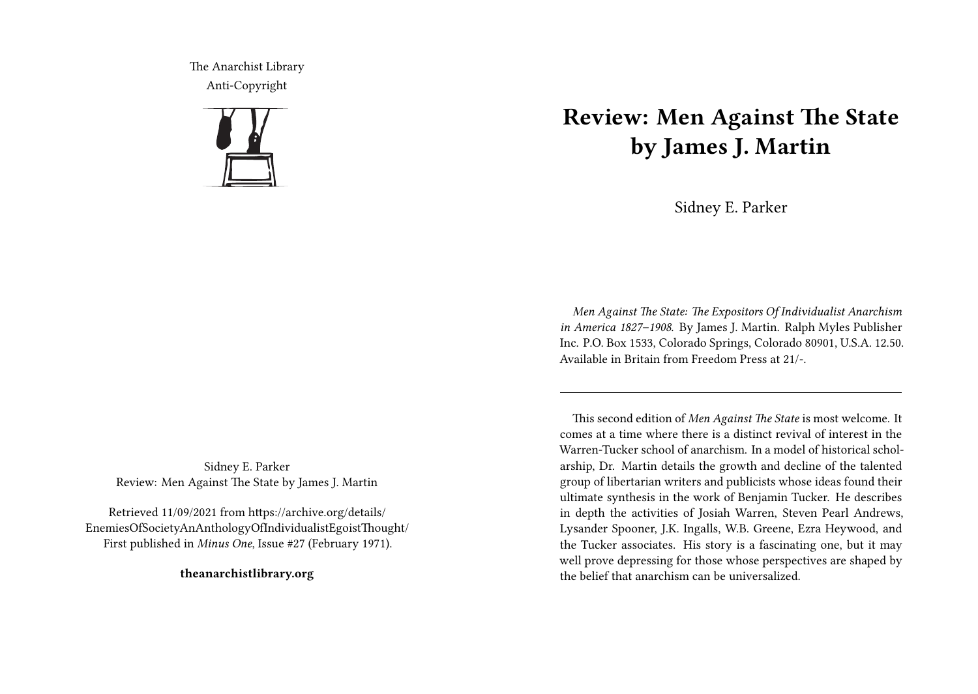The Anarchist Library Anti-Copyright



Sidney E. Parker Review: Men Against The State by James J. Martin

Retrieved 11/09/2021 from https://archive.org/details/ EnemiesOfSocietyAnAnthologyOfIndividualistEgoistThought/ First published in *Minus One*, Issue #27 (February 1971).

**theanarchistlibrary.org**

## **Review: Men Against The State by James J. Martin**

Sidney E. Parker

*Men Against The State: The Expositors Of Individualist Anarchism in America 1827–1908*. By James J. Martin. Ralph Myles Publisher Inc. P.O. Box 1533, Colorado Springs, Colorado 80901, U.S.A. 12.50. Available in Britain from Freedom Press at 21/-.

This second edition of *Men Against The State* is most welcome. It comes at a time where there is a distinct revival of interest in the Warren-Tucker school of anarchism. In a model of historical scholarship, Dr. Martin details the growth and decline of the talented group of libertarian writers and publicists whose ideas found their ultimate synthesis in the work of Benjamin Tucker. He describes in depth the activities of Josiah Warren, Steven Pearl Andrews, Lysander Spooner, J.K. Ingalls, W.B. Greene, Ezra Heywood, and the Tucker associates. His story is a fascinating one, but it may well prove depressing for those whose perspectives are shaped by the belief that anarchism can be universalized.